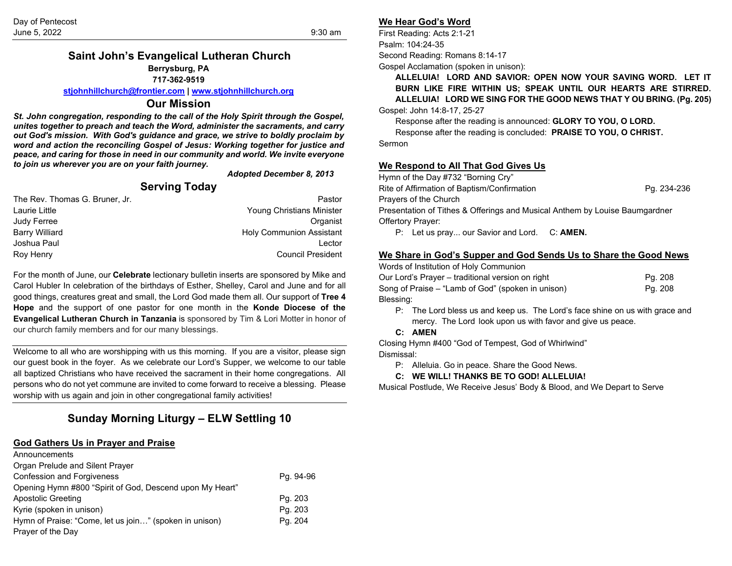#### **Saint John's Evangelical Lutheran Church Berrysburg, PA 717-362-9519**

**[stjohnhillchurch@frontier.com](mailto:stjohnhillchurch@frontier.com) | [www.stjohnhillchurch.org](http://www.stjohnhillchurch.org/)**

#### **Our Mission**

*St. John congregation, responding to the call of the Holy Spirit through the Gospel, unites together to preach and teach the Word, administer the sacraments, and carry out God's mission. With God's guidance and grace, we strive to boldly proclaim by word and action the reconciling Gospel of Jesus: Working together for justice and peace, and caring for those in need in our community and world. We invite everyone to join us wherever you are on your faith journey.*

*Adopted December 8, 2013*

#### **Serving Today** The Rev. Thomas G. Bruner. Jr. **Pastor** Pastor **Pastor** Laurie Little Young Christians Minister Judy Ferree Organist Barry Williard **Holy Communion Assistant** Joshua Paul Lector Roy Henry Council President

For the month of June, our **Celebrate** lectionary bulletin inserts are sponsored by Mike and Carol Hubler In celebration of the birthdays of Esther, Shelley, Carol and June and for all good things, creatures great and small, the Lord God made them all. Our support of **Tree 4 Hope** and the support of one pastor for one month in the **Konde Diocese of the Evangelical Lutheran Church in Tanzania** is sponsored by Tim & Lori Motter in honor of our church family members and for our many blessings.

Welcome to all who are worshipping with us this morning. If you are a visitor, please sign our guest book in the foyer. As we celebrate our Lord's Supper, we welcome to our table all baptized Christians who have received the sacrament in their home congregations. All persons who do not yet commune are invited to come forward to receive a blessing. Please worship with us again and join in other congregational family activities!

# **Sunday Morning Liturgy – ELW Settling 10**

#### **God Gathers Us in Prayer and Praise**

| Announcements                                            |           |
|----------------------------------------------------------|-----------|
| Organ Prelude and Silent Prayer                          |           |
| <b>Confession and Forgiveness</b>                        | Pg. 94-96 |
| Opening Hymn #800 "Spirit of God, Descend upon My Heart" |           |
| Apostolic Greeting                                       | Pg. 203   |
| Kyrie (spoken in unison)                                 | Pg. 203   |
| Hymn of Praise: "Come, let us join" (spoken in unison)   | Pg. 204   |
| Prayer of the Day                                        |           |

#### **We Hear God's Word**

First Reading: Acts 2:1-21 Psalm: 104:24-35 Second Reading: Romans 8:14-17

Gospel Acclamation (spoken in unison):

**ALLELUIA! LORD AND SAVIOR: OPEN NOW YOUR SAVING WORD. LET IT BURN LIKE FIRE WITHIN US; SPEAK UNTIL OUR HEARTS ARE STIRRED. ALLELUIA! LORD WE SING FOR THE GOOD NEWS THAT Y OU BRING. (Pg. 205)** Gospel: John 14:8-17, 25-27

Response after the reading is announced: **GLORY TO YOU, O LORD.** Response after the reading is concluded: **PRAISE TO YOU, O CHRIST.** Sermon

#### **We Respond to All That God Gives Us**

| Hymn of the Day #732 "Borning Cry"                                          |             |
|-----------------------------------------------------------------------------|-------------|
| Rite of Affirmation of Baptism/Confirmation                                 | Pg. 234-236 |
| Prayers of the Church                                                       |             |
| Presentation of Tithes & Offerings and Musical Anthem by Louise Baumgardner |             |
| <b>Offertory Prayer:</b>                                                    |             |
| P: Let us pray our Savior and Lord. C: AMEN.                                |             |

#### **We Share in God's Supper and God Sends Us to Share the Good News**

| Words of Institution of Holy Communion            |         |
|---------------------------------------------------|---------|
| Our Lord's Prayer – traditional version on right  | Pg. 208 |
| Song of Praise – "Lamb of God" (spoken in unison) | Pg. 208 |
| Blessing:                                         |         |

- P: The Lord bless us and keep us. The Lord's face shine on us with grace and mercy. The Lord look upon us with favor and give us peace.
- **C: AMEN**

Closing Hymn #400 "God of Tempest, God of Whirlwind" Dismissal:

- P: Alleluia. Go in peace. Share the Good News.
- **C: WE WILL! THANKS BE TO GOD! ALLELUIA!**

Musical Postlude, We Receive Jesus' Body & Blood, and We Depart to Serve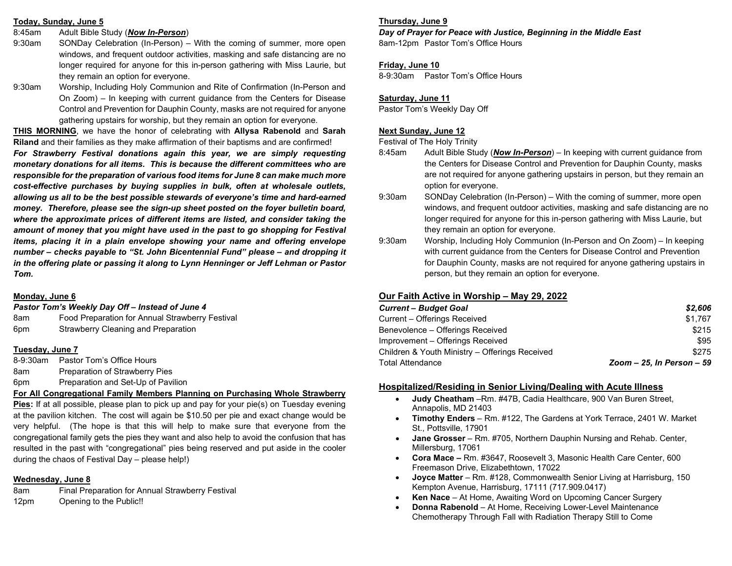#### **Today, Sunday, June 5**

- 8:45am Adult Bible Study (*Now In-Person*)
- 9:30am SONDay Celebration (In-Person) With the coming of summer, more open windows, and frequent outdoor activities, masking and safe distancing are no longer required for anyone for this in-person gathering with Miss Laurie, but they remain an option for everyone.
- 9:30am Worship, Including Holy Communion and Rite of Confirmation (In-Person and On Zoom) – In keeping with current guidance from the Centers for Disease Control and Prevention for Dauphin County, masks are not required for anyone gathering upstairs for worship, but they remain an option for everyone.

**THIS MORNING**, we have the honor of celebrating with **Allysa Rabenold** and **Sarah Riland** and their families as they make affirmation of their baptisms and are confirmed!

*For Strawberry Festival donations again this year, we are simply requesting monetary donations for all items. This is because the different committees who are responsible for the preparation of various food items for June 8 can make much more cost-effective purchases by buying supplies in bulk, often at wholesale outlets, allowing us all to be the best possible stewards of everyone's time and hard-earned money. Therefore, please see the sign-up sheet posted on the foyer bulletin board, where the approximate prices of different items are listed, and consider taking the amount of money that you might have used in the past to go shopping for Festival items, placing it in a plain envelope showing your name and offering envelope number – checks payable to "St. John Bicentennial Fund" please – and dropping it in the offering plate or passing it along to Lynn Henninger or Jeff Lehman or Pastor Tom.*

#### **Monday, June 6**

#### *Pastor Tom's Weekly Day Off – Instead of June 4*

| 8am | Food Preparation for Annual Strawberry Festival |
|-----|-------------------------------------------------|
| 6pm | Strawberry Cleaning and Preparation             |

#### **Tuesday, June 7**

8-9:30am Pastor Tom's Office Hours 8am Preparation of Strawberry Pies 6pm Preparation and Set-Up of Pavilion

**For All Congregational Family Members Planning on Purchasing Whole Strawberry** 

**Pies:** If at all possible, please plan to pick up and pay for your pie(s) on Tuesday evening at the pavilion kitchen. The cost will again be \$10.50 per pie and exact change would be very helpful. (The hope is that this will help to make sure that everyone from the congregational family gets the pies they want and also help to avoid the confusion that has resulted in the past with "congregational" pies being reserved and put aside in the cooler during the chaos of Festival Day – please help!)

## **Wednesday, June 8**

8am Final Preparation for Annual Strawberry Festival 12pm Opening to the Public!!

## **Thursday, June 9**

# *Day of Prayer for Peace with Justice, Beginning in the Middle East*

8am-12pm Pastor Tom's Office Hours

## **Friday, June 10**

8-9:30am Pastor Tom's Office Hours

## **Saturday, June 11**

Pastor Tom's Weekly Day Off

# **Next Sunday, June 12**

Festival of The Holy Trinity

- 8:45am Adult Bible Study (*Now In-Person*) In keeping with current guidance from the Centers for Disease Control and Prevention for Dauphin County, masks are not required for anyone gathering upstairs in person, but they remain an option for everyone.
- 9:30am SONDay Celebration (In-Person) With the coming of summer, more open windows, and frequent outdoor activities, masking and safe distancing are no longer required for anyone for this in-person gathering with Miss Laurie, but they remain an option for everyone.
- 9:30am Worship, Including Holy Communion (In-Person and On Zoom) In keeping with current guidance from the Centers for Disease Control and Prevention for Dauphin County, masks are not required for anyone gathering upstairs in person, but they remain an option for everyone.

# **Our Faith Active in Worship – May 29, 2022**

| <b>Current - Budget Goal</b>                   | \$2.606                   |
|------------------------------------------------|---------------------------|
| Current – Offerings Received                   | \$1.767                   |
| Benevolence – Offerings Received               | \$215                     |
| Improvement - Offerings Received               | \$95                      |
| Children & Youth Ministry – Offerings Received | \$275                     |
| Total Attendance                               | Zoom - 25, In Person - 59 |
|                                                |                           |

# **Hospitalized/Residing in Senior Living/Dealing with Acute Illness**

- **Judy Cheatham** –Rm. #47B, Cadia Healthcare, 900 Van Buren Street, Annapolis, MD 21403
- **Timothy Enders**  Rm. #122, The Gardens at York Terrace, 2401 W. Market St., Pottsville, 17901
- **Jane Grosser**  Rm. #705, Northern Dauphin Nursing and Rehab. Center, Millersburg, 17061
- **Cora Mace –** Rm. #3647, Roosevelt 3, Masonic Health Care Center, 600 Freemason Drive, Elizabethtown, 17022
- **Joyce Matter**  Rm. #128, Commonwealth Senior Living at Harrisburg, 150 Kempton Avenue, Harrisburg, 17111 (717.909.0417)
- **Ken Nace**  At Home, Awaiting Word on Upcoming Cancer Surgery
- **Donna Rabenold**  At Home, Receiving Lower-Level Maintenance Chemotherapy Through Fall with Radiation Therapy Still to Come